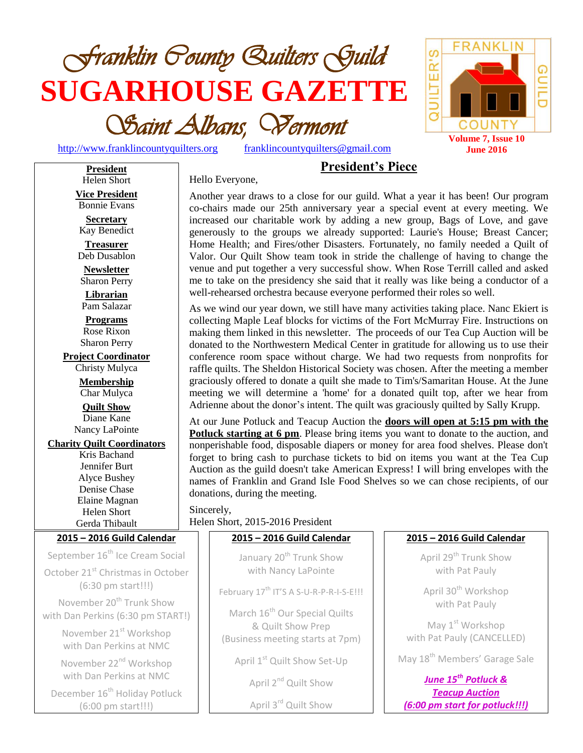

[http://www.franklincountyquilters.org](http://www.franklincountyquilters.org/) [franklincountyquilters@gmail.com](mailto:franklincountyquilters@gmail.com)

QUILTER' COUNTY **Volume 7, Issue 10 June 2016**

S

**FRANK** 

GUIL

Hello Everyone,

# **President's Piece**

**President** Helen Short **Vice President** Bonnie Evans **Secretary** Kay Benedict **Treasurer** Deb Dusablon **Newsletter** Sharon Perry **Librarian** Pam Salazar **Programs** Rose Rixon Sharon Perry **Project Coordinator** Christy Mulyca **Membership** Char Mulyca **Quilt Show** Diane Kane Nancy LaPointe **Charity Quilt Coordinators** Kris Bachand Jennifer Burt Alyce Bushey Denise Chase Elaine Magnan Helen Short Gerda Thibault **2015 – 2016 Guild Calendar** September 16<sup>th</sup> Ice Cream Social October 21<sup>st</sup> Christmas in October (6:30 pm start!!!) November 20<sup>th</sup> Trunk Show with Dan Perkins (6:30 pm START!) November 21<sup>st</sup> Workshop with Dan Perkins at NMC November 22<sup>nd</sup> Workshop with Dan Perkins at NMC December 16<sup>th</sup> Holiday Potluck

(6:00 pm start!!!)

Another year draws to a close for our guild. What a year it has been! Our program co-chairs made our 25th anniversary year a special event at every meeting. We increased our charitable work by adding a new group, Bags of Love, and gave generously to the groups we already supported: Laurie's House; Breast Cancer; Home Health; and Fires/other Disasters. Fortunately, no family needed a Quilt of Valor. Our Quilt Show team took in stride the challenge of having to change the venue and put together a very successful show. When Rose Terrill called and asked me to take on the presidency she said that it really was like being a conductor of a well-rehearsed orchestra because everyone performed their roles so well.

As we wind our year down, we still have many activities taking place. Nanc Ekiert is collecting Maple Leaf blocks for victims of the Fort McMurray Fire. Instructions on making them linked in this newsletter. The proceeds of our Tea Cup Auction will be donated to the Northwestern Medical Center in gratitude for allowing us to use their conference room space without charge. We had two requests from nonprofits for raffle quilts. The Sheldon Historical Society was chosen. After the meeting a member graciously offered to donate a quilt she made to Tim's/Samaritan House. At the June meeting we will determine a 'home' for a donated quilt top, after we hear from Adrienne about the donor's intent. The quilt was graciously quilted by Sally Krupp.

At our June Potluck and Teacup Auction the **doors will open at 5:15 pm with the Potluck starting at 6 pm**. Please bring items you want to donate to the auction, and nonperishable food, disposable diapers or money for area food shelves. Please don't forget to bring cash to purchase tickets to bid on items you want at the Tea Cup Auction as the guild doesn't take American Express! I will bring envelopes with the names of Franklin and Grand Isle Food Shelves so we can chose recipients, of our donations, during the meeting.

Sincerely, Helen Short, 2015-2016 President

#### **2015 – 2016 Guild Calendar**

January 20<sup>th</sup> Trunk Show with Nancy LaPointe

February 17<sup>th</sup> IT'S A S-U-R-P-R-I-S-E!!!

March 16<sup>th</sup> Our Special Quilts & Quilt Show Prep (Business meeting starts at 7pm)

April 1<sup>st</sup> Quilt Show Set-Up

April 2<sup>nd</sup> Quilt Show

April 3rd Quilt Show

#### **2015 – 2016 Guild Calendar**

April 29<sup>th</sup> Trunk Show with Pat Pauly

April 30<sup>th</sup> Workshop with Pat Pauly

May 1<sup>st</sup> Workshop with Pat Pauly (CANCELLED)

May 18<sup>th</sup> Members' Garage Sale

*June 15th Potluck & Teacup Auction (6:00 pm start for potluck!!!)*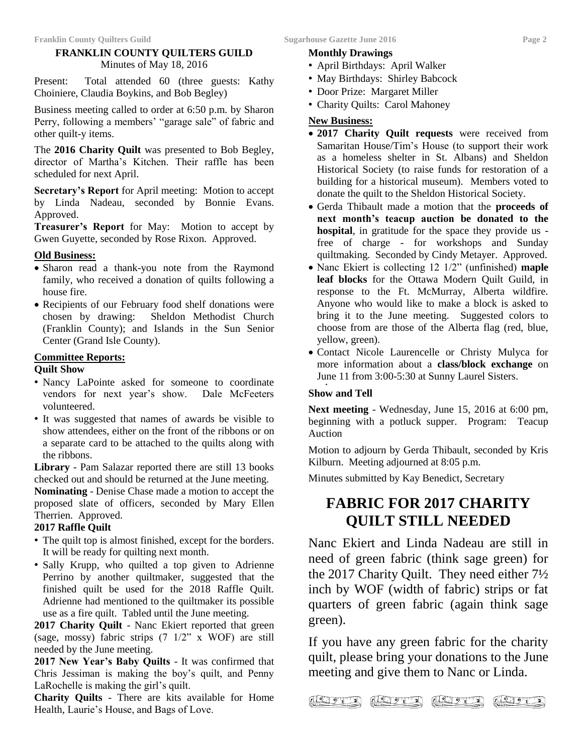#### **FRANKLIN COUNTY QUILTERS GUILD** Minutes of May 18, 2016

Present: Total attended 60 (three guests: Kathy Choiniere, Claudia Boykins, and Bob Begley)

Business meeting called to order at 6:50 p.m. by Sharon Perry, following a members' "garage sale" of fabric and other quilt-y items.

The **2016 Charity Quilt** was presented to Bob Begley, director of Martha's Kitchen. Their raffle has been scheduled for next April.

**Secretary's Report** for April meeting: Motion to accept by Linda Nadeau, seconded by Bonnie Evans. Approved.

**Treasurer's Report** for May: Motion to accept by Gwen Guyette, seconded by Rose Rixon. Approved.

#### **Old Business:**

- Sharon read a thank-you note from the Raymond family, who received a donation of quilts following a house fire.
- Recipients of our February food shelf donations were chosen by drawing: Sheldon Methodist Church (Franklin County); and Islands in the Sun Senior Center (Grand Isle County).

#### **Committee Reports:**

#### **Quilt Show**

- Nancy LaPointe asked for someone to coordinate vendors for next year's show. Dale McFeeters volunteered.
- It was suggested that names of awards be visible to show attendees, either on the front of the ribbons or on a separate card to be attached to the quilts along with the ribbons.

**Library** - Pam Salazar reported there are still 13 books checked out and should be returned at the June meeting.

**Nominating** - Denise Chase made a motion to accept the proposed slate of officers, seconded by Mary Ellen Therrien. Approved.

#### **2017 Raffle Quilt**

- The quilt top is almost finished, except for the borders. It will be ready for quilting next month.
- Sally Krupp, who quilted a top given to Adrienne Perrino by another quiltmaker, suggested that the finished quilt be used for the 2018 Raffle Quilt. Adrienne had mentioned to the quiltmaker its possible use as a fire quilt. Tabled until the June meeting.

**2017 Charity Quilt** - Nanc Ekiert reported that green (sage, mossy) fabric strips (7 1/2" x WOF) are still needed by the June meeting.

**2017 New Year's Baby Quilts** - It was confirmed that Chris Jessiman is making the boy's quilt, and Penny LaRochelle is making the girl's quilt.

**Charity Quilts** - There are kits available for Home Health, Laurie's House, and Bags of Love.

#### **Monthly Drawings**

- April Birthdays: April Walker
- May Birthdays: Shirley Babcock
- Door Prize: Margaret Miller
- Charity Quilts: Carol Mahoney

#### **New Business:**

- **2017 Charity Quilt requests** were received from Samaritan House/Tim's House (to support their work as a homeless shelter in St. Albans) and Sheldon Historical Society (to raise funds for restoration of a building for a historical museum).Members voted to donate the quilt to the Sheldon Historical Society.
- Gerda Thibault made a motion that the **proceeds of next month's teacup auction be donated to the hospital**, in gratitude for the space they provide us free of charge - for workshops and Sunday quiltmaking. Seconded by Cindy Metayer. Approved.
- Nanc Ekiert is collecting 12 1/2" (unfinished) **maple leaf blocks** for the Ottawa Modern Quilt Guild, in response to the Ft. McMurray, Alberta wildfire. Anyone who would like to make a block is asked to bring it to the June meeting. Suggested colors to choose from are those of the Alberta flag (red, blue, yellow, green).
- Contact Nicole Laurencelle or Christy Mulyca for more information about a **class/block exchange** on June 11 from 3:00-5:30 at Sunny Laurel Sisters.

#### **Show and Tell**

 $\sqrt{2\sqrt{2}}$ 

.

**Next meeting** - Wednesday, June 15, 2016 at 6:00 pm, beginning with a potluck supper. Program: Teacup Auction

Motion to adjourn by Gerda Thibault, seconded by Kris Kilburn. Meeting adjourned at 8:05 p.m.

Minutes submitted by Kay Benedict, Secretary

## **FABRIC FOR 2017 CHARITY QUILT STILL NEEDED**

Nanc Ekiert and Linda Nadeau are still in need of green fabric (think sage green) for the 2017 Charity Quilt. They need either 7½ inch by WOF (width of fabric) strips or fat quarters of green fabric (again think sage green).

If you have any green fabric for the charity quilt, please bring your donations to the June meeting and give them to Nanc or Linda.

 $120 - 2$ 

 $(20 - 2)$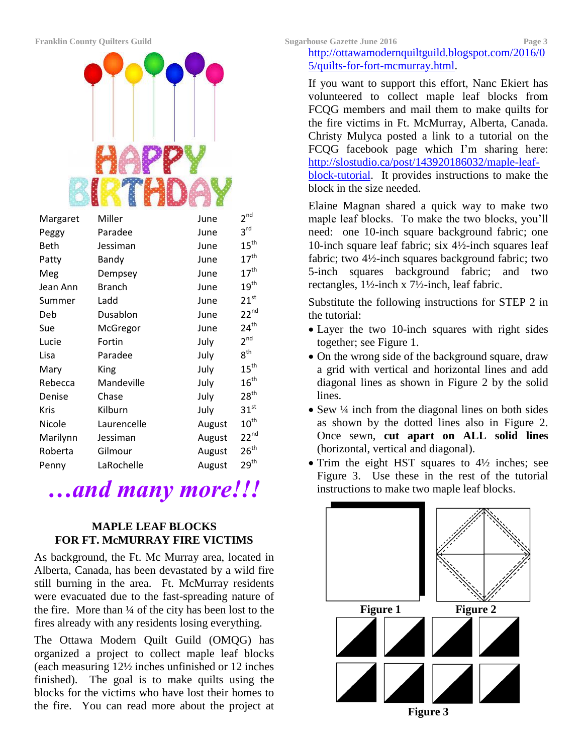

| Margaret | Miller        | June   | 2 <sup>nd</sup>  |
|----------|---------------|--------|------------------|
| Peggy    | Paradee       | June   | $3^{\text{rd}}$  |
| Beth     | Jessiman      | June   | 15 <sup>th</sup> |
| Patty    | Bandy         | June   | $17^{\text{th}}$ |
| Meg      | Dempsey       | June   | 17 <sup>th</sup> |
| Jean Ann | <b>Branch</b> | June   | $19^{\text{th}}$ |
| Summer   | Ladd          | June   | 21 <sup>st</sup> |
| Deb      | Dusablon      | June   | $22^{nd}$        |
| Sue      | McGregor      | June   | $24^{\text{th}}$ |
| Lucie    | Fortin        | July   | 2 <sup>nd</sup>  |
| Lisa     | Paradee       | July   | $8^{\text{th}}$  |
| Mary     | King          | July   | $15^{\text{th}}$ |
| Rebecca  | Mandeville    | July   | $16^{\text{th}}$ |
| Denise   | Chase         | July   | 28 <sup>th</sup> |
| Kris     | Kilburn       | July   | $31^{st}$        |
| Nicole   | Laurencelle   | August | $10^{\text{th}}$ |
| Marilynn | Jessiman      | August | $22^{nd}$        |
| Roberta  | Gilmour       | August | 26 <sup>th</sup> |
| Penny    | LaRochelle    | August | 29 <sup>th</sup> |

# *…and many more!!!*

#### **MAPLE LEAF BLOCKS FOR FT. McMURRAY FIRE VICTIMS**

As background, the Ft. Mc Murray area, located in Alberta, Canada, has been devastated by a wild fire still burning in the area. Ft. McMurray residents were evacuated due to the fast-spreading nature of the fire. More than ¼ of the city has been lost to the fires already with any residents losing everything.

The Ottawa Modern Quilt Guild (OMQG) has organized a project to collect maple leaf blocks (each measuring 12½ inches unfinished or 12 inches finished). The goal is to make quilts using the blocks for the victims who have lost their homes to the fire. You can read more about the project at

#### [http://ottawamodernquiltguild.blogspot.com/2016/0](http://ottawamodernquiltguild.blogspot.com/2016/05/quilts-for-fort-mcmurray.html) [5/quilts-for-fort-mcmurray.html.](http://ottawamodernquiltguild.blogspot.com/2016/05/quilts-for-fort-mcmurray.html)

If you want to support this effort, Nanc Ekiert has volunteered to collect maple leaf blocks from FCQG members and mail them to make quilts for the fire victims in Ft. McMurray, Alberta, Canada. Christy Mulyca posted a link to a tutorial on the FCQG facebook page which I'm sharing here: [http://slostudio.ca/post/143920186032/maple-leaf](http://slostudio.ca/post/143920186032/maple-leaf-block-tutorial)[block-tutorial.](http://slostudio.ca/post/143920186032/maple-leaf-block-tutorial) It provides instructions to make the block in the size needed.

Elaine Magnan shared a quick way to make two maple leaf blocks. To make the two blocks, you'll need: one 10-inch square background fabric; one 10-inch square leaf fabric; six 4½-inch squares leaf fabric; two 4½-inch squares background fabric; two 5-inch squares background fabric; and two rectangles, 1½-inch x 7½-inch, leaf fabric.

Substitute the following instructions for STEP 2 in the tutorial:

- Layer the two 10-inch squares with right sides together; see Figure 1.
- On the wrong side of the background square, draw a grid with vertical and horizontal lines and add diagonal lines as shown in Figure 2 by the solid lines.
- Sew ¼ inch from the diagonal lines on both sides as shown by the dotted lines also in Figure 2. Once sewn, **cut apart on ALL solid lines** (horizontal, vertical and diagonal).
- $\bullet$  Trim the eight HST squares to  $4\frac{1}{2}$  inches; see Figure 3. Use these in the rest of the tutorial instructions to make two maple leaf blocks.

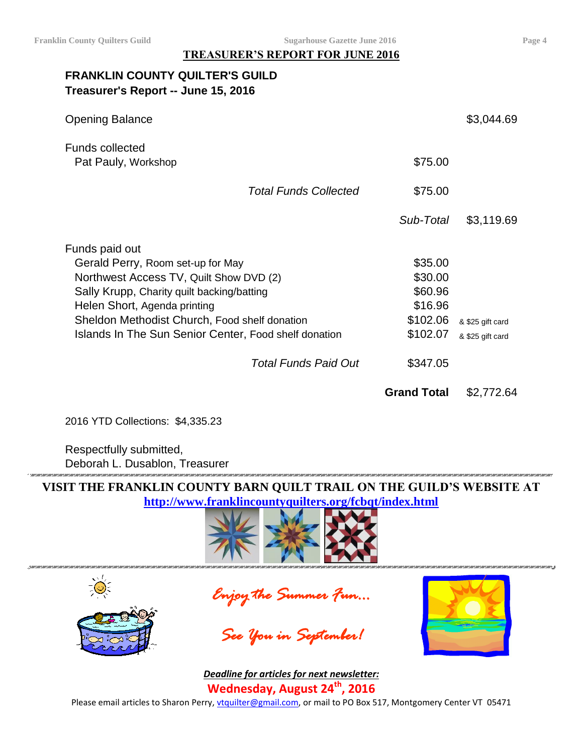**TREASURER'S REPORT FOR JUNE 2016**

### **FRANKLIN COUNTY QUILTER'S GUILD Treasurer's Report -- June 15, 2016**

| <b>Opening Balance</b>                                |                    | \$3,044.69       |
|-------------------------------------------------------|--------------------|------------------|
| <b>Funds collected</b><br>Pat Pauly, Workshop         | \$75.00            |                  |
| <b>Total Funds Collected</b>                          | \$75.00            |                  |
|                                                       | Sub-Total          | \$3,119.69       |
| Funds paid out                                        |                    |                  |
| Gerald Perry, Room set-up for May                     | \$35.00            |                  |
| Northwest Access TV, Quilt Show DVD (2)               | \$30.00            |                  |
| Sally Krupp, Charity quilt backing/batting            | \$60.96            |                  |
| Helen Short, Agenda printing                          | \$16.96            |                  |
| Sheldon Methodist Church, Food shelf donation         | \$102.06           | & \$25 gift card |
| Islands In The Sun Senior Center, Food shelf donation | \$102.07           | & \$25 gift card |
| <b>Total Funds Paid Out</b>                           | \$347.05           |                  |
|                                                       | <b>Grand Total</b> | \$2,772.64       |

2016 YTD Collections: \$4,335.23

Respectfully submitted, Deborah L. Dusablon, Treasurer

**VISIT THE FRANKLIN COUNTY BARN QUILT TRAIL ON THE GUILD'S WEBSITE AT <http://www.franklincountyquilters.org/fcbqt/index.html>**











*Deadline for articles for next newsletter:* **Wednesday, August 24 th , 2016**

Please email articles to Sharon Perry, [vtquilter@gmail.com,](mailto:vtquilter@gmail.com) or mail to PO Box 517, Montgomery Center VT 05471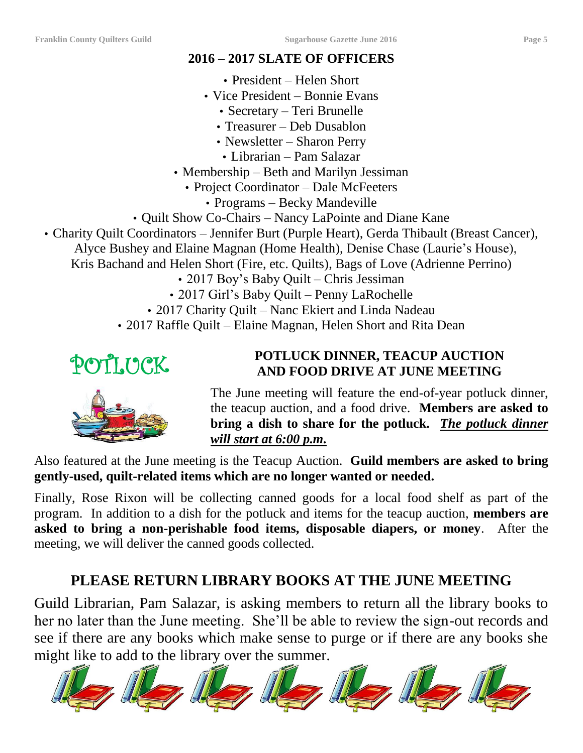## **2016 – 2017 SLATE OF OFFICERS**

- President Helen Short
- Vice President Bonnie Evans
	- Secretary Teri Brunelle
	- Treasurer Deb Dusablon
	- Newsletter Sharon Perry
	- Librarian Pam Salazar
- Membership Beth and Marilyn Jessiman
	- Project Coordinator Dale McFeeters
		- Programs Becky Mandeville
- Quilt Show Co-Chairs Nancy LaPointe and Diane Kane
- Charity Quilt Coordinators Jennifer Burt (Purple Heart), Gerda Thibault (Breast Cancer),
	- Alyce Bushey and Elaine Magnan (Home Health), Denise Chase (Laurie's House),

Kris Bachand and Helen Short (Fire, etc. Quilts), Bags of Love (Adrienne Perrino)

- 2017 Boy's Baby Quilt Chris Jessiman
- 2017 Girl's Baby Quilt Penny LaRochelle
- 2017 Charity Quilt Nanc Ekiert and Linda Nadeau
- 2017 Raffle Quilt Elaine Magnan, Helen Short and Rita Dean

# POTLICK

## **POTLUCK DINNER, TEACUP AUCTION AND FOOD DRIVE AT JUNE MEETING**

The June meeting will feature the end-of-year potluck dinner, the teacup auction, and a food drive. **Members are asked to bring a dish to share for the potluck.** *The potluck dinner will start at 6:00 p.m.*

Also featured at the June meeting is the Teacup Auction. **Guild members are asked to bring gently-used, quilt-related items which are no longer wanted or needed.** 

Finally, Rose Rixon will be collecting canned goods for a local food shelf as part of the program. In addition to a dish for the potluck and items for the teacup auction, **members are asked to bring a non-perishable food items, disposable diapers, or money**. After the meeting, we will deliver the canned goods collected.

# **PLEASE RETURN LIBRARY BOOKS AT THE JUNE MEETING**

Guild Librarian, Pam Salazar, is asking members to return all the library books to her no later than the June meeting. She'll be able to review the sign-out records and see if there are any books which make sense to purge or if there are any books she might like to add to the library over the summer.

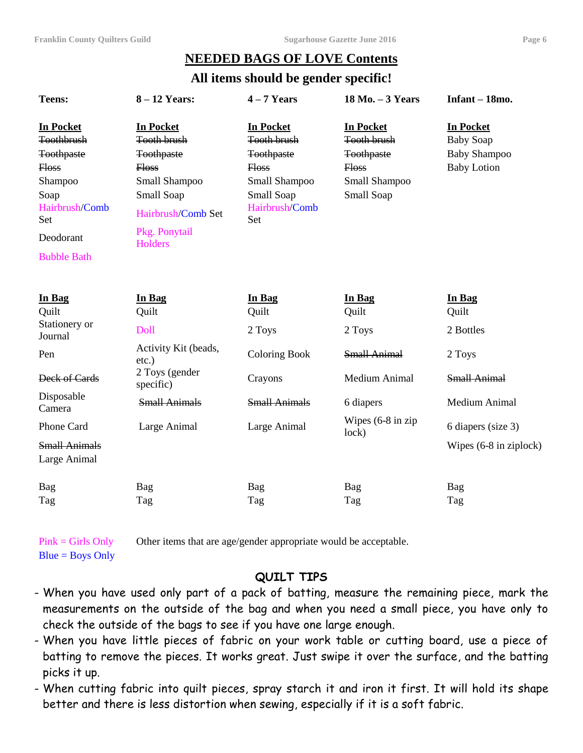## **NEEDED BAGS OF LOVE Contents**

#### **All items should be gender specific!**

| <b>Teens:</b>                                                                                                                                             | $8 - 12$ Years:                                                                                                                                             | $4 - 7$ Years                                                                                                                       | 18 Mo. - 3 Years                                                                                           | $Infant - 18mo.$                                                                  |
|-----------------------------------------------------------------------------------------------------------------------------------------------------------|-------------------------------------------------------------------------------------------------------------------------------------------------------------|-------------------------------------------------------------------------------------------------------------------------------------|------------------------------------------------------------------------------------------------------------|-----------------------------------------------------------------------------------|
| <b>In Pocket</b><br><b>Toothbrush</b><br><b>Toothpaste</b><br><b>Floss</b><br>Shampoo<br>Soap<br>Hairbrush/Comb<br>Set<br>Deodorant<br><b>Bubble Bath</b> | <b>In Pocket</b><br><b>Tooth brush</b><br><b>Toothpaste</b><br>Hoss<br>Small Shampoo<br>Small Soap<br>Hairbrush/Comb Set<br>Pkg. Ponytail<br><b>Holders</b> | <b>In Pocket</b><br><b>Tooth brush</b><br><b>Toothpaste</b><br><b>Floss</b><br>Small Shampoo<br>Small Soap<br>Hairbrush/Comb<br>Set | <b>In Pocket</b><br><b>Tooth brush</b><br><b>Toothpaste</b><br><b>Floss</b><br>Small Shampoo<br>Small Soap | <b>In Pocket</b><br><b>Baby Soap</b><br><b>Baby Shampoo</b><br><b>Baby Lotion</b> |
| In Bag<br>Quilt<br>Stationery or                                                                                                                          | In Bag<br>Quilt<br>Doll                                                                                                                                     | In Bag<br>Quilt<br>2 Toys                                                                                                           | In Bag<br>Quilt<br>2 Toys                                                                                  | In Bag<br>Quilt<br>2 Bottles                                                      |
| Journal<br>Pen<br>Deck of Cards                                                                                                                           | Activity Kit (beads,<br>$etc.$ )<br>2 Toys (gender                                                                                                          | <b>Coloring Book</b><br>Crayons                                                                                                     | <b>Small Animal</b><br>Medium Animal                                                                       | 2 Toys<br><b>Small Animal</b>                                                     |
| Disposable<br>Camera                                                                                                                                      | specific)<br><b>Small Animals</b>                                                                                                                           | <b>Small Animals</b>                                                                                                                | 6 diapers                                                                                                  | <b>Medium Animal</b>                                                              |
| Phone Card<br><b>Small Animals</b><br>Large Animal                                                                                                        | Large Animal                                                                                                                                                | Large Animal                                                                                                                        | Wipes $(6-8$ in zip<br>lock)                                                                               | 6 diapers (size 3)<br>Wipes (6-8 in ziplock)                                      |
| Bag<br>Tag                                                                                                                                                | Bag<br>Tag                                                                                                                                                  | Bag<br>Tag                                                                                                                          | Bag<br>Tag                                                                                                 | Bag<br>Tag                                                                        |

Pink = Girls Only Other items that are age/gender appropriate would be acceptable.

 $Blue = Boys Only$ 

#### **QUILT TIPS**

- When you have used only part of a pack of batting, measure the remaining piece, mark the measurements on the outside of the bag and when you need a small piece, you have only to check the outside of the bags to see if you have one large enough.
- When you have little pieces of fabric on your work table or cutting board, use a piece of batting to remove the pieces. It works great. Just swipe it over the surface, and the batting picks it up.
- When cutting fabric into quilt pieces, spray starch it and iron it first. It will hold its shape better and there is less distortion when sewing, especially if it is a soft fabric.